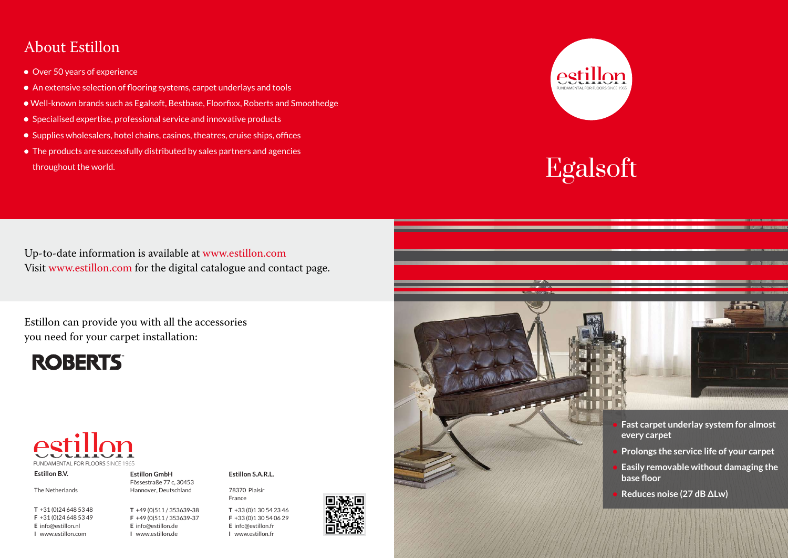



- 
- 
- 
- 





Up-to-date information is available at www.estillon.com Visit www.estillon.com for the digital catalogue and contact page.

## About Estillon

- Over 50 years of experience
- An extensive selection of flooring systems, carpet underlays and tools
- Well-known brands such as Egalsoft, Bestbase, Floorfixx, Roberts and Smoothedge
- Specialised expertise, professional service and innovative products
- Supplies wholesalers, hotel chains, casinos, theatres, cruise ships, offices
- The products are successfully distributed by sales partners and agencies throughout the world.

**Estillon S.A.R.L.** 64 Rue Claude Chappe 78370 Plaisir France

Estillon can provide you with all the accessories you need for your carpet installation:





**Estillon B.V.** Linie 25, 5405 AR Uden The Netherlands

**T** +31 (0)24 648 53 48 **F** +31 (0)24 648 53 49 **E** info@estillon.nl **I** www.estillon.com

**Estillon GmbH**

Fössestraße 77 c, 30453 Hannover, Deutschland

**T** +49 (0)511 / 353639-38 **F** +49 (0)511 / 353639-37 **E** info@estillon.de **I** www.estillon.de

**T** +33 (0)1 30 54 23 46 **F** +33 (0)1 30 54 06 29 **E** info@estillon.fr **I** www.estillon.fr